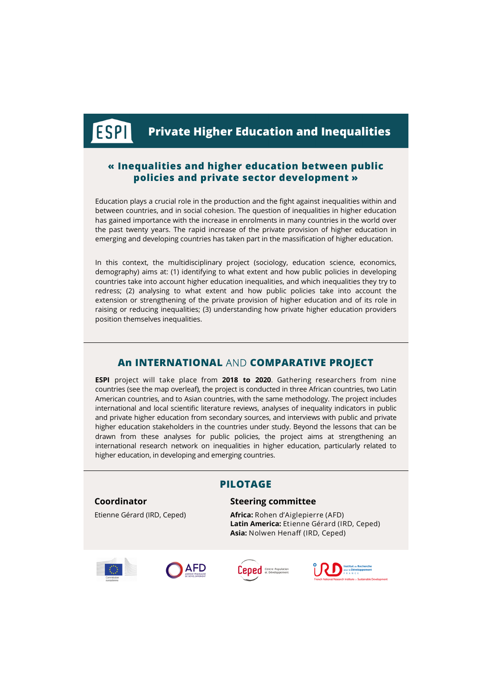## **« Inequalities and higher education between public policies and private sector development »**

Education plays a crucial role in the production and the fight against inequalities within and between countries, and in social cohesion. The question of inequalities in higher education has gained importance with the increase in enrolments in many countries in the world over the past twenty years. The rapid increase of the private provision of higher education in emerging and developing countries has taken part in the massification of higher education.

In this context, the multidisciplinary project (sociology, education science, economics, demography) aims at: (1) identifying to what extent and how public policies in developing countries take into account higher education inequalities, and which inequalities they try to redress; (2) analysing to what extent and how public policies take into account the extension or strengthening of the private provision of higher education and of its role in raising or reducing inequalities; (3) understanding how private higher education providers position themselves inequalities.

# **An INTERNATIONAL** AND **COMPARATIVE PROJECT**

**ESPI** project will take place from **2018 to 2020**. Gathering researchers from nine countries (see the map overleaf), the project is conducted in three African countries, two Latin American countries, and to Asian countries, with the same methodology. The project includes international and local scientific literature reviews, analyses of inequality indicators in public and private higher education from secondary sources, and interviews with public and private higher education stakeholders in the countries under study. Beyond the lessons that can be drawn from these analyses for public policies, the project aims at strengthening an international research network on inequalities in higher education, particularly related to higher education, in developing and emerging countries.

### **Coordinator**

ESPI

Etienne Gérard (IRD, Ceped)

# **PILOTAGE**

#### **Steering committee**

**Africa:** Rohen d'Aiglepierre (AFD) **Latin America:** Etienne Gérard (IRD, Ceped) **Asia:** Nolwen Henaff (IRD, Ceped)